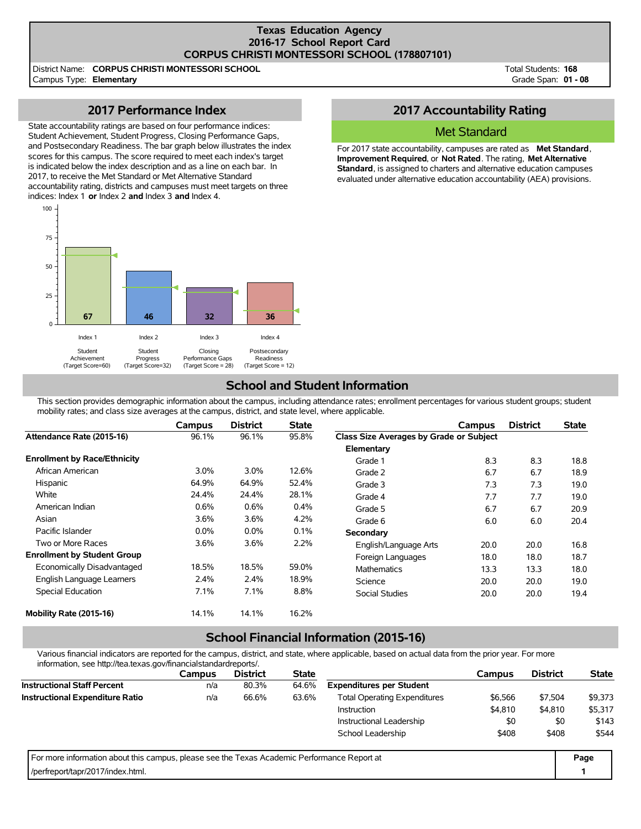#### **Texas Education Agency 2016-17 School Report Card CORPUS CHRISTI MONTESSORI SCHOOL (178807101)**

District Name: **CORPUS CHRISTI MONTESSORI SCHOOL** Campus Type: **Elementary**

Total Students: **168** Grade Span: **01 - 08**

# **2017 Performance Index**

State accountability ratings are based on four performance indices: Student Achievement, Student Progress, Closing Performance Gaps, and Postsecondary Readiness. The bar graph below illustrates the index scores for this campus. The score required to meet each index's target is indicated below the index description and as a line on each bar. In 2017, to receive the Met Standard or Met Alternative Standard accountability rating, districts and campuses must meet targets on three indices: Index 1 **or** Index 2 **and** Index 3 **and** Index 4.



## **2017 Accountability Rating**

### Met Standard

For 2017 state accountability, campuses are rated as **Met Standard**, **Improvement Required**, or **Not Rated**. The rating, **Met Alternative Standard**, is assigned to charters and alternative education campuses evaluated under alternative education accountability (AEA) provisions.

# **School and Student Information**

This section provides demographic information about the campus, including attendance rates; enrollment percentages for various student groups; student mobility rates; and class size averages at the campus, district, and state level, where applicable.

|                                     | Campus  | <b>District</b> | <b>State</b> |                                         | Campus | <b>District</b> | <b>State</b> |
|-------------------------------------|---------|-----------------|--------------|-----------------------------------------|--------|-----------------|--------------|
| Attendance Rate (2015-16)           | 96.1%   | 96.1%           | 95.8%        | Class Size Averages by Grade or Subject |        |                 |              |
|                                     |         |                 |              | Elementary                              |        |                 |              |
| <b>Enrollment by Race/Ethnicity</b> |         |                 |              | Grade 1                                 | 8.3    | 8.3             | 18.8         |
| African American                    | $3.0\%$ | 3.0%            | 12.6%        | Grade 2                                 | 6.7    | 6.7             | 18.9         |
| Hispanic                            | 64.9%   | 64.9%           | 52.4%        | Grade 3                                 | 7.3    | 7.3             | 19.0         |
| White                               | 24.4%   | 24.4%           | 28.1%        | Grade 4                                 | 7.7    | 7.7             | 19.0         |
| American Indian                     | 0.6%    | 0.6%            | 0.4%         | Grade 5                                 | 6.7    | 6.7             | 20.9         |
| Asian                               | 3.6%    | 3.6%            | 4.2%         | Grade 6                                 | 6.0    | 6.0             | 20.4         |
| Pacific Islander                    | $0.0\%$ | $0.0\%$         | 0.1%         | Secondary                               |        |                 |              |
| Two or More Races                   | 3.6%    | 3.6%            | 2.2%         | English/Language Arts                   | 20.0   | 20.0            | 16.8         |
| <b>Enrollment by Student Group</b>  |         |                 |              | Foreign Languages                       | 18.0   | 18.0            | 18.7         |
| Economically Disadvantaged          | 18.5%   | 18.5%           | 59.0%        | <b>Mathematics</b>                      | 13.3   | 13.3            | 18.0         |
| English Language Learners           | 2.4%    | 2.4%            | 18.9%        | Science                                 | 20.0   | 20.0            | 19.0         |
| Special Education                   | 7.1%    | 7.1%            | 8.8%         | <b>Social Studies</b>                   | 20.0   | 20.0            | 19.4         |
| Mobility Rate (2015-16)             | 14.1%   | 14.1%           | 16.2%        |                                         |        |                 |              |

# **School Financial Information (2015-16)**

Various financial indicators are reported for the campus, district, and state, where applicable, based on actual data from the prior year. For more information, see http://tea.texas.gov/financialstandardreports/.

| information, See Hitp://tea.icxas.gov/illiaricialsianuarureports/.                          |               |                 |              |                                     |         |                 |              |
|---------------------------------------------------------------------------------------------|---------------|-----------------|--------------|-------------------------------------|---------|-----------------|--------------|
|                                                                                             | <b>Campus</b> | <b>District</b> | <b>State</b> |                                     | Campus  | <b>District</b> | <b>State</b> |
| <b>Instructional Staff Percent</b>                                                          | n/a           | 80.3%           | 64.6%        | <b>Expenditures per Student</b>     |         |                 |              |
| <b>Instructional Expenditure Ratio</b>                                                      | n/a           | 66.6%           | 63.6%        | <b>Total Operating Expenditures</b> | \$6.566 | \$7.504         | \$9,373      |
|                                                                                             |               |                 |              | Instruction                         | \$4,810 | \$4,810         | \$5,317      |
|                                                                                             |               |                 |              | Instructional Leadership            | \$0     | \$0             | \$143        |
|                                                                                             |               |                 |              | School Leadership                   | \$408   | \$408           | \$544        |
| For more information about this campus, please see the Texas Academic Performance Report at |               |                 |              |                                     |         |                 | Page         |
| /perfreport/tapr/2017/index.html.                                                           |               |                 |              |                                     |         |                 |              |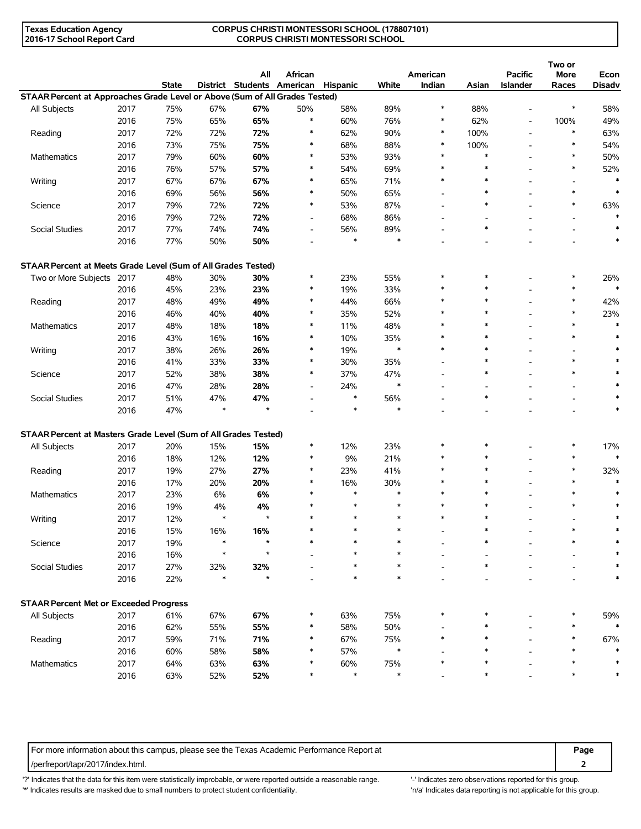#### **CORPUS CHRISTI MONTESSORI SCHOOL (178807101) CORPUS CHRISTI MONTESSORI SCHOOL**

|                                                                             |      | <b>State</b> |               | All<br>District Students American | African                  | Hispanic | White         | American<br>Indian | Asian  | <b>Pacific</b><br><b>Islander</b> | Two or<br>More<br>Races  | Econ<br><b>Disadv</b> |
|-----------------------------------------------------------------------------|------|--------------|---------------|-----------------------------------|--------------------------|----------|---------------|--------------------|--------|-----------------------------------|--------------------------|-----------------------|
| STAAR Percent at Approaches Grade Level or Above (Sum of All Grades Tested) |      |              |               |                                   |                          |          |               |                    |        |                                   |                          |                       |
| All Subjects                                                                | 2017 | 75%          | 67%           | 67%                               | 50%                      | 58%      | 89%           | $\ast$             | 88%    | ۰                                 | $\ast$                   | 58%                   |
|                                                                             | 2016 | 75%          | 65%           | 65%                               | $\ast$                   | 60%      | 76%           | $\ast$             | 62%    | ٠                                 | 100%                     | 49%                   |
| Reading                                                                     | 2017 | 72%          | 72%           | 72%                               | $\ast$                   | 62%      | 90%           | $\ast$             | 100%   | L,                                | $\ast$                   | 63%                   |
|                                                                             | 2016 | 73%          | 75%           | 75%                               | $\ast$                   | 68%      | 88%           | $\ast$             | 100%   |                                   | $\ast$                   | 54%                   |
| Mathematics                                                                 | 2017 | 79%          | 60%           | 60%                               | *                        | 53%      | 93%           | $\ast$             | $\ast$ |                                   | $\ast$                   | 50%                   |
|                                                                             | 2016 | 76%          | 57%           | 57%                               | $\ast$                   | 54%      | 69%           | $\ast$             | $\ast$ |                                   | $\ast$                   | 52%                   |
| Writing                                                                     | 2017 | 67%          | 67%           | 67%                               | $\ast$                   | 65%      | 71%           | $\ast$             | $\ast$ |                                   |                          |                       |
|                                                                             | 2016 | 69%          | 56%           | 56%                               | *                        | 50%      | 65%           |                    | $\ast$ |                                   | $\ast$                   | $\ast$                |
| Science                                                                     | 2017 | 79%          | 72%           | 72%                               | $\ast$                   | 53%      | 87%           |                    | $\ast$ |                                   | $\ast$                   | 63%                   |
|                                                                             | 2016 | 79%          | 72%           | 72%                               | $\overline{\phantom{a}}$ | 68%      | 86%           |                    |        |                                   |                          | $\star$               |
| Social Studies                                                              | 2017 | 77%          | 74%           | 74%                               | $\overline{\phantom{m}}$ | 56%      | 89%           |                    | $\ast$ |                                   |                          | $\ast$                |
|                                                                             | 2016 | 77%          | 50%           | 50%                               |                          | $\ast$   | $\ast$        |                    |        |                                   |                          | $\ast$                |
| STAAR Percent at Meets Grade Level (Sum of All Grades Tested)               |      |              |               |                                   |                          |          |               |                    |        |                                   |                          |                       |
| Two or More Subjects 2017                                                   |      | 48%          | 30%           | 30%                               | $\ast$                   | 23%      | 55%           | $\ast$             | *      |                                   | $\ast$                   | 26%                   |
|                                                                             | 2016 | 45%          | 23%           | 23%                               | $\ast$                   | 19%      | 33%           |                    | $\ast$ |                                   | $\ast$                   | $\ast$                |
| Reading                                                                     | 2017 | 48%          | 49%           | 49%                               | $\ast$                   | 44%      | 66%           | $\ast$             | $\ast$ |                                   | $\ast$                   | 42%                   |
|                                                                             | 2016 | 46%          | 40%           | 40%                               | *                        | 35%      | 52%           | $\ast$             | $\ast$ |                                   | $\ast$                   | 23%                   |
| <b>Mathematics</b>                                                          | 2017 | 48%          | 18%           | 18%                               | $\ast$                   | 11%      | 48%           |                    | $\ast$ |                                   | $\ast$                   | $\ast$                |
|                                                                             | 2016 | 43%          | 16%           | 16%                               | $\ast$                   | 10%      | 35%           | $\ast$             | $\ast$ |                                   | $\ast$                   | $\ast$                |
| Writing                                                                     |      |              |               | 26%                               | $\ast$                   |          | $\ast$        | $\ast$             | $\ast$ |                                   |                          |                       |
|                                                                             | 2017 | 38%          | 26%           |                                   | $\ast$                   | 19%      |               |                    | $\ast$ |                                   | $\ast$                   |                       |
|                                                                             | 2016 | 41%          | 33%           | 33%                               | $\ast$                   | 30%      | 35%           |                    | $\ast$ |                                   | $\ast$                   |                       |
| Science                                                                     | 2017 | 52%          | 38%           | 38%                               |                          | 37%      | 47%<br>$\ast$ | ÷                  |        |                                   |                          |                       |
|                                                                             | 2016 | 47%          | 28%           | 28%                               | $\overline{\phantom{a}}$ | 24%      |               |                    | $\ast$ |                                   | $\overline{\phantom{0}}$ |                       |
| Social Studies                                                              | 2017 | 51%          | 47%<br>$\ast$ | 47%<br>$\star$                    |                          | $\ast$   | 56%<br>$\ast$ |                    |        |                                   |                          | $\ast$                |
|                                                                             | 2016 | 47%          |               |                                   |                          | $\ast$   |               |                    |        |                                   |                          |                       |
| STAAR Percent at Masters Grade Level (Sum of All Grades Tested)             |      |              |               |                                   |                          |          |               |                    |        |                                   |                          |                       |
| All Subjects                                                                | 2017 | 20%          | 15%           | 15%                               | $\ast$                   | 12%      | 23%           |                    | ∗      |                                   |                          | 17%                   |
|                                                                             | 2016 | 18%          | 12%           | 12%                               | $\ast$                   | 9%       | 21%           | $\ast$             | $\ast$ |                                   | $\ast$                   | $\ast$                |
| Reading                                                                     | 2017 | 19%          | 27%           | 27%                               | $\ast$                   | 23%      | 41%           | $\ast$             | $\ast$ |                                   | $\ast$                   | 32%                   |
|                                                                             | 2016 | 17%          | 20%           | 20%                               | $\ast$                   | 16%      | 30%           |                    | $\ast$ |                                   |                          |                       |
| <b>Mathematics</b>                                                          | 2017 | 23%          | 6%            | 6%                                | ∗                        | $\ast$   | $\ast$        | $\ast$             | $\ast$ |                                   | $\ast$                   |                       |
|                                                                             | 2016 | 19%          | 4%            | 4%                                |                          | $\ast$   | $\ast$        | $\ast$             | $\ast$ |                                   |                          |                       |
| Writing                                                                     | 2017 | 12%          | $\ast$        | $\star$                           |                          | $\ast$   | $\ast$        | $\ast$             | $\ast$ |                                   |                          |                       |
|                                                                             | 2016 | 15%          | 16%           | 16%                               |                          |          |               |                    |        |                                   |                          |                       |
| Science                                                                     | 2017 | 19%          | $\ast$        | $\star$                           |                          |          | $\ast$        |                    | $\ast$ |                                   |                          |                       |
|                                                                             | 2016 | 16%          | $\ast$        | $\star$                           |                          |          |               |                    |        |                                   |                          |                       |
| Social Studies<br>2017<br>2016                                              |      | 27%          | 32%           | 32%                               |                          | *        | $\ast$        |                    | $\ast$ |                                   |                          |                       |
|                                                                             |      | 22%          | $\ast$        | $\star$                           |                          | $\ast$   | $\ast$        |                    |        |                                   |                          | $\ast$                |
| <b>STAAR Percent Met or Exceeded Progress</b>                               |      |              |               |                                   |                          |          |               |                    |        |                                   |                          |                       |
| All Subjects                                                                | 2017 | 61%          | 67%           | 67%                               |                          | 63%      | 75%           |                    |        |                                   |                          | 59%                   |
|                                                                             | 2016 | 62%          | 55%           | 55%                               |                          | 58%      | 50%           |                    |        |                                   |                          |                       |
| Reading                                                                     | 2017 | 59%          | 71%           | 71%                               | ∗                        | 67%      | 75%           |                    | ∗      |                                   |                          | 67%                   |
|                                                                             | 2016 | 60%          | 58%           | 58%                               | ∗                        | 57%      | $\ast$        |                    |        |                                   |                          |                       |
| Mathematics                                                                 | 2017 | 64%          | 63%           | 63%                               |                          | 60%      | 75%           |                    |        |                                   |                          |                       |
|                                                                             | 2016 | 63%          | 52%           | 52%                               |                          | $\ast$   | $\ast$        |                    | $\ast$ |                                   |                          |                       |
|                                                                             |      |              |               |                                   |                          |          |               |                    |        |                                   |                          |                       |

For more information about this campus, please see the Texas Academic Performance Report at **Page Page** /perfreport/tapr/2017/index.html. **2**

'?' Indicates that the data for this item were statistically improbable, or were reported outside a reasonable range. '' Indicates zero observations reported for this group. '\*' Indicates results are masked due to small numbers to protect student confidentiality. Ma' Indicates data reporting is not applicable for this group.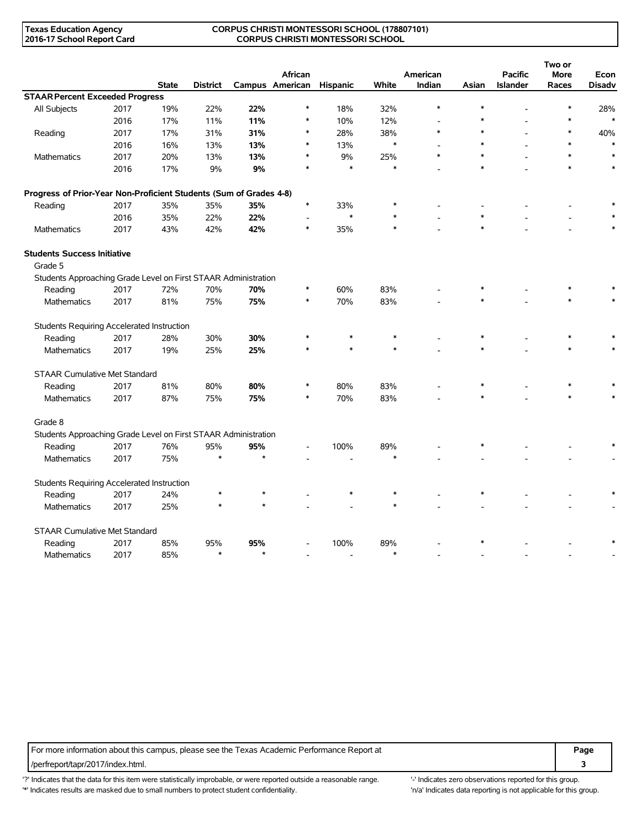#### **CORPUS CHRISTI MONTESSORI SCHOOL (178807101) CORPUS CHRISTI MONTESSORI SCHOOL**

|                                                                    |      |              |          |     | African         |          |        | American |        | <b>Pacific</b>  | Two or<br><b>More</b> | Econ          |
|--------------------------------------------------------------------|------|--------------|----------|-----|-----------------|----------|--------|----------|--------|-----------------|-----------------------|---------------|
|                                                                    |      | <b>State</b> | District |     | Campus American | Hispanic | White  | Indian   | Asian  | <b>Islander</b> | Races                 | <b>Disadv</b> |
| <b>STAAR Percent Exceeded Progress</b>                             |      |              |          |     |                 |          |        |          |        |                 |                       |               |
| All Subjects                                                       | 2017 | 19%          | 22%      | 22% | $\ast$          | 18%      | 32%    | $\ast$   | $\ast$ |                 |                       | 28%           |
|                                                                    | 2016 | 17%          | 11%      | 11% |                 | 10%      | 12%    |          |        |                 |                       |               |
| Reading                                                            | 2017 | 17%          | 31%      | 31% | ∗               | 28%      | 38%    | $\ast$   |        |                 | $\ast$                | 40%           |
|                                                                    | 2016 | 16%          | 13%      | 13% | $\ast$          | 13%      | $\ast$ |          |        |                 |                       |               |
| Mathematics                                                        | 2017 | 20%          | 13%      | 13% | $\ast$          | 9%       | 25%    | $\ast$   |        |                 |                       | $\ast$        |
|                                                                    | 2016 | 17%          | 9%       | 9%  | $\ast$          | $\ast$   | $\ast$ |          |        |                 | $\ast$                | $\ast$        |
| Progress of Prior-Year Non-Proficient Students (Sum of Grades 4-8) |      |              |          |     |                 |          |        |          |        |                 |                       |               |
| Reading                                                            | 2017 | 35%          | 35%      | 35% | $\ast$          | 33%      |        |          |        |                 |                       |               |
|                                                                    | 2016 | 35%          | 22%      | 22% |                 | $\ast$   | $\ast$ |          | $\ast$ |                 |                       |               |
| Mathematics                                                        | 2017 | 43%          | 42%      | 42% | $\ast$          | 35%      |        |          |        |                 |                       |               |
| <b>Students Success Initiative</b><br>Grade 5                      |      |              |          |     |                 |          |        |          |        |                 |                       |               |
| Students Approaching Grade Level on First STAAR Administration     |      |              |          |     |                 |          |        |          |        |                 |                       |               |
| Reading                                                            | 2017 | 72%          | 70%      | 70% |                 | 60%      | 83%    |          |        |                 |                       |               |
| <b>Mathematics</b>                                                 | 2017 | 81%          | 75%      | 75% |                 | 70%      | 83%    |          |        |                 |                       |               |
| <b>Students Requiring Accelerated Instruction</b>                  |      |              |          |     |                 |          |        |          |        |                 |                       |               |
| Reading                                                            | 2017 | 28%          | 30%      | 30% |                 |          | $\ast$ |          |        |                 |                       |               |
| <b>Mathematics</b>                                                 | 2017 | 19%          | 25%      | 25% |                 |          |        |          |        |                 |                       |               |
| <b>STAAR Cumulative Met Standard</b>                               |      |              |          |     |                 |          |        |          |        |                 |                       |               |
| Reading                                                            | 2017 | 81%          | 80%      | 80% |                 | 80%      | 83%    |          |        |                 |                       |               |
| Mathematics                                                        | 2017 | 87%          | 75%      | 75% | $\ast$          | 70%      | 83%    |          |        |                 | $\ast$                |               |
| Grade 8                                                            |      |              |          |     |                 |          |        |          |        |                 |                       |               |
| Students Approaching Grade Level on First STAAR Administration     |      |              |          |     |                 |          |        |          |        |                 |                       |               |
| Reading                                                            | 2017 | 76%          | 95%      | 95% |                 | 100%     | 89%    |          |        |                 |                       |               |
| <b>Mathematics</b>                                                 | 2017 | 75%          | ź.       |     |                 |          | $\ast$ |          |        |                 |                       |               |
| Students Requiring Accelerated Instruction                         |      |              |          |     |                 |          |        |          |        |                 |                       |               |
| Reading                                                            | 2017 | 24%          |          |     |                 |          | $\ast$ |          |        |                 |                       |               |
| Mathematics                                                        | 2017 | 25%          | $\ast$   |     |                 |          | $\ast$ |          |        |                 |                       |               |
| <b>STAAR Cumulative Met Standard</b>                               |      |              |          |     |                 |          |        |          |        |                 |                       |               |
| Reading                                                            | 2017 | 85%          | 95%      | 95% |                 | 100%     | 89%    |          |        |                 |                       |               |
| Mathematics                                                        | 2017 | 85%          | $\ast$   |     |                 |          | $\ast$ |          |        |                 |                       |               |

For more information about this campus, please see the Texas Academic Performance Report at **Page Page** /perfreport/tapr/2017/index.html. **3**

'?' Indicates that the data for this item were statistically improbable, or were reported outside a reasonable range. '' Indicates zero observations reported for this group. '\*' Indicates results are masked due to small numbers to protect student confidentiality. Ma' Indicates data reporting is not applicable for this group.